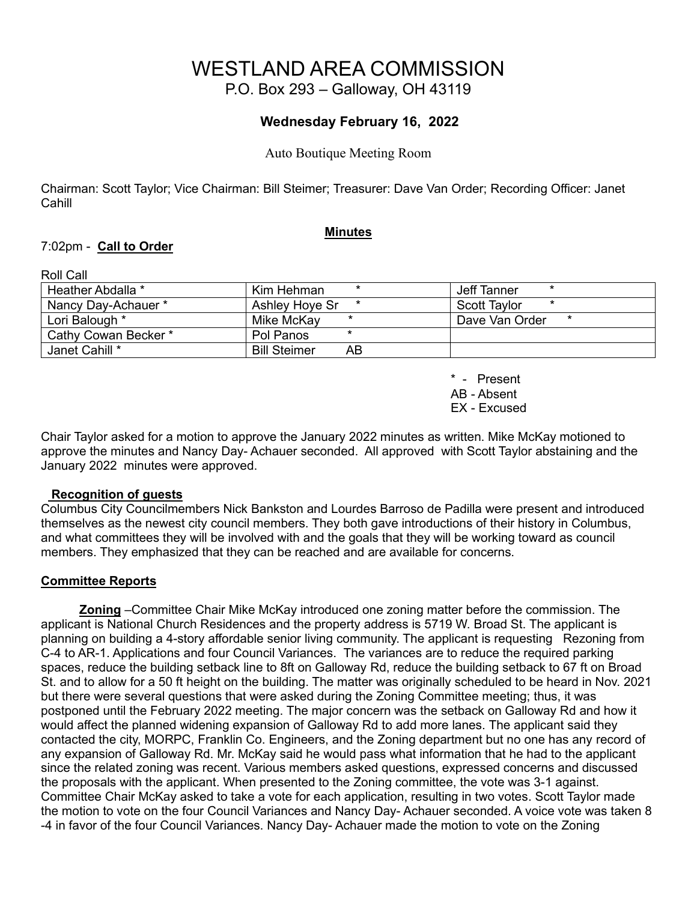# WESTLAND AREA COMMISSION

P.O. Box 293 – Galloway, OH 43119

## **Wednesday February 16, 2022**

Auto Boutique Meeting Room

Chairman: Scott Taylor; Vice Chairman: Bill Steimer; Treasurer: Dave Van Order; Recording Officer: Janet **Cahill** 

#### **Minutes**

#### 7:02pm - **Call to Order**

| Roll Call            |                           |                           |
|----------------------|---------------------------|---------------------------|
| Heather Abdalla *    | Kim Hehman                | Jeff Tanner               |
| Nancy Day-Achauer *  | Ashley Hove Sr<br>*       | Scott Tavlor<br>$\star$   |
| Lori Balough *       | Mike McKav                | Dave Van Order<br>$\star$ |
| Cathy Cowan Becker * | Pol Panos                 |                           |
| Janet Cahill *       | <b>Bill Steimer</b><br>AB |                           |

\* - Present AB - Absent EX - Excused

Chair Taylor asked for a motion to approve the January 2022 minutes as written. Mike McKay motioned to approve the minutes and Nancy Day- Achauer seconded. All approved with Scott Taylor abstaining and the January 2022 minutes were approved.

#### **Recognition of guests**

Columbus City Councilmembers Nick Bankston and Lourdes Barroso de Padilla were present and introduced themselves as the newest city council members. They both gave introductions of their history in Columbus, and what committees they will be involved with and the goals that they will be working toward as council members. They emphasized that they can be reached and are available for concerns.

#### **Committee Reports**

 **Zoning** –Committee Chair Mike McKay introduced one zoning matter before the commission. The applicant is National Church Residences and the property address is 5719 W. Broad St. The applicant is planning on building a 4-story affordable senior living community. The applicant is requesting Rezoning from C-4 to AR-1. Applications and four Council Variances. The variances are to reduce the required parking spaces, reduce the building setback line to 8ft on Galloway Rd, reduce the building setback to 67 ft on Broad St. and to allow for a 50 ft height on the building. The matter was originally scheduled to be heard in Nov. 2021 but there were several questions that were asked during the Zoning Committee meeting; thus, it was postponed until the February 2022 meeting. The major concern was the setback on Galloway Rd and how it would affect the planned widening expansion of Galloway Rd to add more lanes. The applicant said they contacted the city, MORPC, Franklin Co. Engineers, and the Zoning department but no one has any record of any expansion of Galloway Rd. Mr. McKay said he would pass what information that he had to the applicant since the related zoning was recent. Various members asked questions, expressed concerns and discussed the proposals with the applicant. When presented to the Zoning committee, the vote was 3-1 against. Committee Chair McKay asked to take a vote for each application, resulting in two votes. Scott Taylor made the motion to vote on the four Council Variances and Nancy Day- Achauer seconded. A voice vote was taken 8 -4 in favor of the four Council Variances. Nancy Day- Achauer made the motion to vote on the Zoning